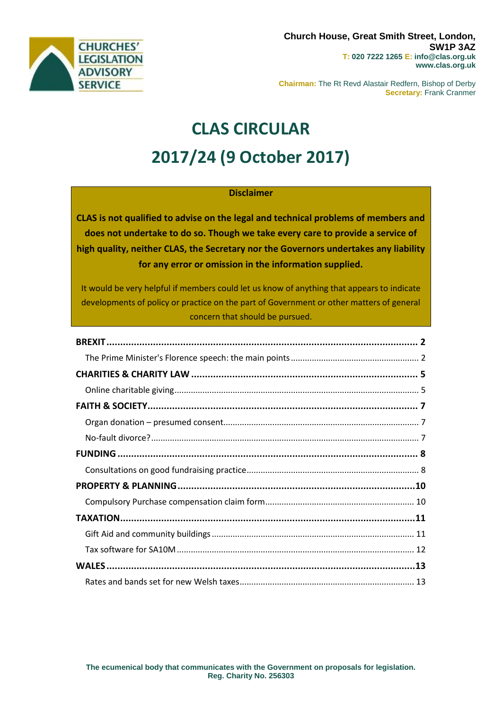

**Chairman:** The Rt Revd Alastair Redfern, Bishop of Derby **Secretary:** Frank Cranmer

# **CLAS CIRCULAR 2017/24 (9 October 2017)**

## **Disclaimer**

**CLAS is not qualified to advise on the legal and technical problems of members and does not undertake to do so. Though we take every care to provide a service of high quality, neither CLAS, the Secretary nor the Governors undertakes any liability for any error or omission in the information supplied.**

It would be very helpful if members could let us know of anything that appears to indicate developments of policy or practice on the part of Government or other matters of general concern that should be pursued.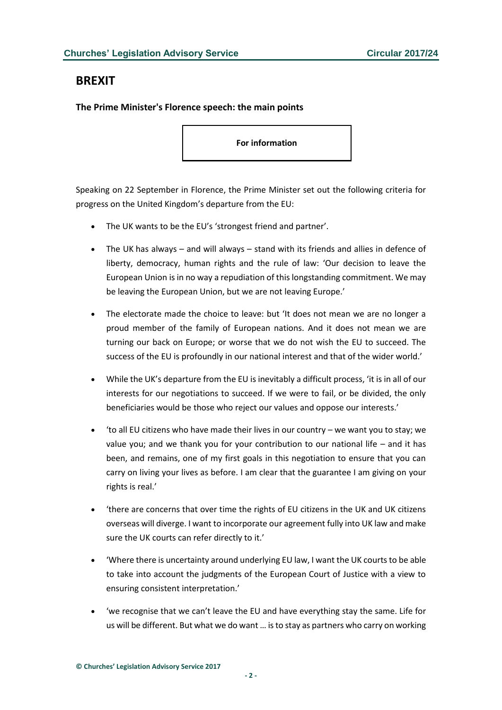## <span id="page-1-0"></span>**BREXIT**

## <span id="page-1-1"></span>**The Prime Minister's Florence speech: the main points**

**For information**

Speaking on 22 September in Florence, the Prime Minister set out the following criteria for progress on the United Kingdom's departure from the EU:

- The UK wants to be the EU's 'strongest friend and partner'.
- The UK has always and will always stand with its friends and allies in defence of liberty, democracy, human rights and the rule of law: 'Our decision to leave the European Union is in no way a repudiation of this longstanding commitment. We may be leaving the European Union, but we are not leaving Europe.'
- The electorate made the choice to leave: but 'It does not mean we are no longer a proud member of the family of European nations. And it does not mean we are turning our back on Europe; or worse that we do not wish the EU to succeed. The success of the EU is profoundly in our national interest and that of the wider world.'
- While the UK's departure from the EU is inevitably a difficult process, 'it is in all of our interests for our negotiations to succeed. If we were to fail, or be divided, the only beneficiaries would be those who reject our values and oppose our interests.'
- 'to all EU citizens who have made their lives in our country we want you to stay; we value you; and we thank you for your contribution to our national life – and it has been, and remains, one of my first goals in this negotiation to ensure that you can carry on living your lives as before. I am clear that the guarantee I am giving on your rights is real.'
- 'there are concerns that over time the rights of EU citizens in the UK and UK citizens overseas will diverge. I want to incorporate our agreement fully into UK law and make sure the UK courts can refer directly to it.'
- 'Where there is uncertainty around underlying EU law, I want the UK courts to be able to take into account the judgments of the European Court of Justice with a view to ensuring consistent interpretation.'
- 'we recognise that we can't leave the EU and have everything stay the same. Life for us will be different. But what we do want … is to stay as partners who carry on working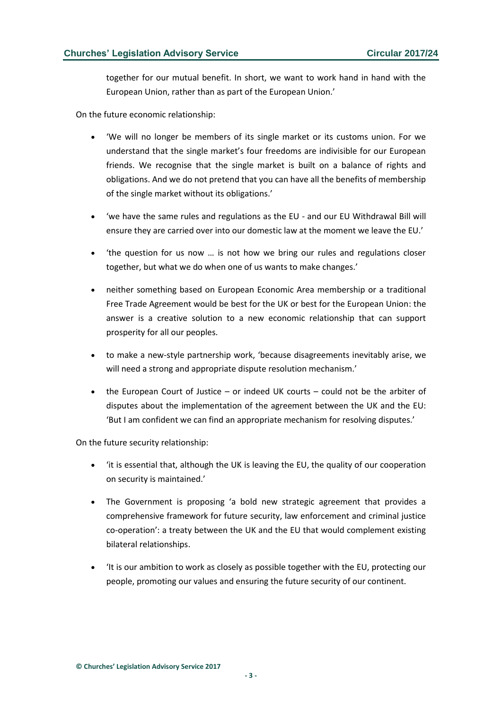together for our mutual benefit. In short, we want to work hand in hand with the European Union, rather than as part of the European Union.'

On the future economic relationship:

- 'We will no longer be members of its single market or its customs union. For we understand that the single market's four freedoms are indivisible for our European friends. We recognise that the single market is built on a balance of rights and obligations. And we do not pretend that you can have all the benefits of membership of the single market without its obligations.'
- 'we have the same rules and regulations as the EU and our EU Withdrawal Bill will ensure they are carried over into our domestic law at the moment we leave the EU.'
- 'the question for us now … is not how we bring our rules and regulations closer together, but what we do when one of us wants to make changes.'
- neither something based on European Economic Area membership or a traditional Free Trade Agreement would be best for the UK or best for the European Union: the answer is a creative solution to a new economic relationship that can support prosperity for all our peoples.
- to make a new-style partnership work, 'because disagreements inevitably arise, we will need a strong and appropriate dispute resolution mechanism.'
- the European Court of Justice or indeed UK courts could not be the arbiter of disputes about the implementation of the agreement between the UK and the EU: 'But I am confident we can find an appropriate mechanism for resolving disputes.'

On the future security relationship:

- 'it is essential that, although the UK is leaving the EU, the quality of our cooperation on security is maintained.'
- The Government is proposing 'a bold new strategic agreement that provides a comprehensive framework for future security, law enforcement and criminal justice co-operation': a treaty between the UK and the EU that would complement existing bilateral relationships.
- 'It is our ambition to work as closely as possible together with the EU, protecting our people, promoting our values and ensuring the future security of our continent.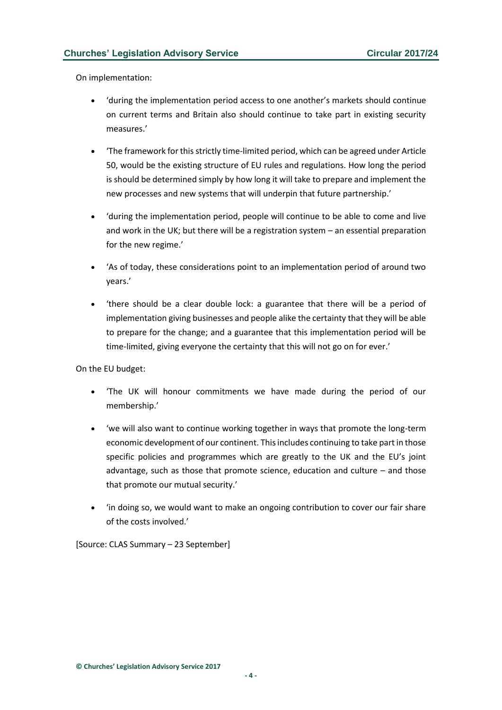On implementation:

- 'during the implementation period access to one another's markets should continue on current terms and Britain also should continue to take part in existing security measures.'
- 'The framework for this strictly time-limited period, which can be agreed under Article 50, would be the existing structure of EU rules and regulations. How long the period is should be determined simply by how long it will take to prepare and implement the new processes and new systems that will underpin that future partnership.'
- 'during the implementation period, people will continue to be able to come and live and work in the UK; but there will be a registration system – an essential preparation for the new regime.'
- 'As of today, these considerations point to an implementation period of around two years.'
- 'there should be a clear double lock: a guarantee that there will be a period of implementation giving businesses and people alike the certainty that they will be able to prepare for the change; and a guarantee that this implementation period will be time-limited, giving everyone the certainty that this will not go on for ever.'

On the EU budget:

- 'The UK will honour commitments we have made during the period of our membership.'
- 'we will also want to continue working together in ways that promote the long-term economic development of our continent. This includes continuing to take part in those specific policies and programmes which are greatly to the UK and the EU's joint advantage, such as those that promote science, education and culture – and those that promote our mutual security.'
- 'in doing so, we would want to make an ongoing contribution to cover our fair share of the costs involved.'

[Source: CLAS Summary – 23 September]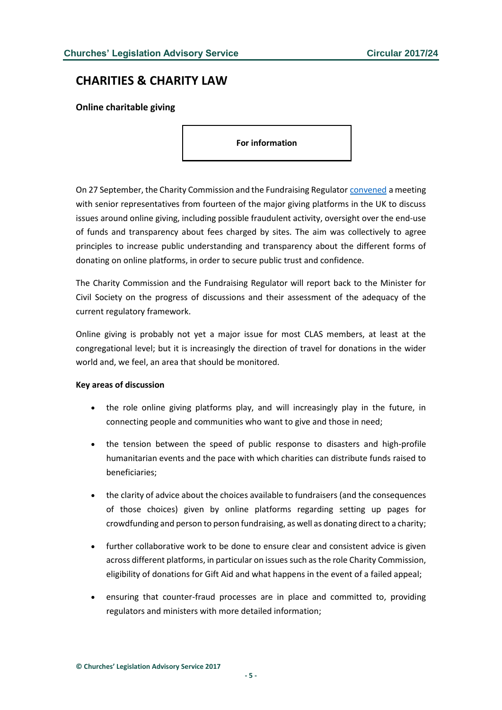# <span id="page-4-0"></span>**CHARITIES & CHARITY LAW**

<span id="page-4-1"></span>**Online charitable giving**

**For information**

On 27 September, the Charity Commission and the Fundraising Regulator [convened](http://www.gov.uk/government/news/online-charitable-giving-summit-statement-of-meeting) a meeting with senior representatives from fourteen of the major giving platforms in the UK to discuss issues around online giving, including possible fraudulent activity, oversight over the end-use of funds and transparency about fees charged by sites. The aim was collectively to agree principles to increase public understanding and transparency about the different forms of donating on online platforms, in order to secure public trust and confidence.

The Charity Commission and the Fundraising Regulator will report back to the Minister for Civil Society on the progress of discussions and their assessment of the adequacy of the current regulatory framework.

Online giving is probably not yet a major issue for most CLAS members, at least at the congregational level; but it is increasingly the direction of travel for donations in the wider world and, we feel, an area that should be monitored.

#### **Key areas of discussion**

- the role online giving platforms play, and will increasingly play in the future, in connecting people and communities who want to give and those in need;
- the tension between the speed of public response to disasters and high-profile humanitarian events and the pace with which charities can distribute funds raised to beneficiaries;
- the clarity of advice about the choices available to fundraisers (and the consequences of those choices) given by online platforms regarding setting up pages for crowdfunding and person to person fundraising, as well as donating direct to a charity;
- further collaborative work to be done to ensure clear and consistent advice is given across different platforms, in particular on issues such as the role Charity Commission, eligibility of donations for Gift Aid and what happens in the event of a failed appeal;
- ensuring that counter-fraud processes are in place and committed to, providing regulators and ministers with more detailed information;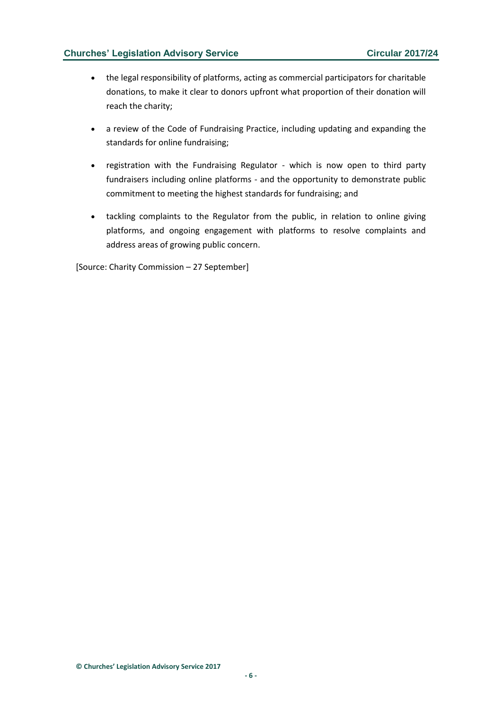- the legal responsibility of platforms, acting as commercial participators for charitable donations, to make it clear to donors upfront what proportion of their donation will reach the charity;
- a review of the Code of Fundraising Practice, including updating and expanding the standards for online fundraising;
- registration with the Fundraising Regulator which is now open to third party fundraisers including online platforms - and the opportunity to demonstrate public commitment to meeting the highest standards for fundraising; and
- tackling complaints to the Regulator from the public, in relation to online giving platforms, and ongoing engagement with platforms to resolve complaints and address areas of growing public concern.

[Source: Charity Commission – 27 September]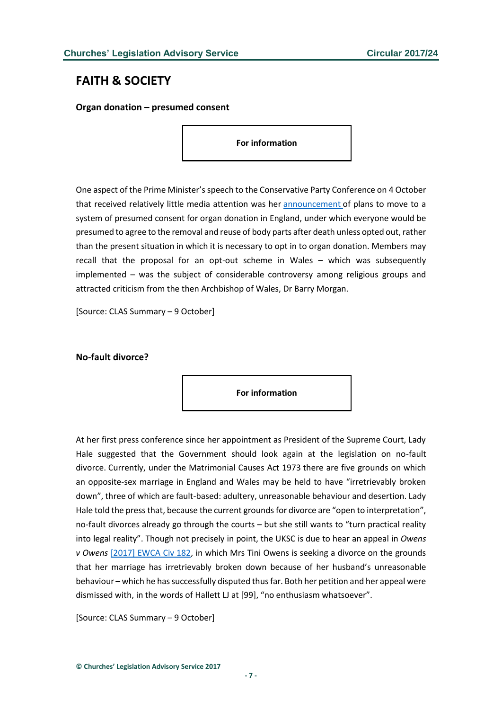## <span id="page-6-0"></span>**FAITH & SOCIETY**

<span id="page-6-1"></span>**Organ donation – presumed consent**

**For information**

One aspect of the Prime Minister's speech to the Conservative Party Conference on 4 October that received relatively little media attention was her [announcement](https://www.theguardian.com/society/2017/oct/05/doctors-praise-plan-for-organ-donor-presumed-consent-in-england) of plans to move to a system of presumed consent for organ donation in England, under which everyone would be presumed to agree to the removal and reuse of body parts after death unless opted out, rather than the present situation in which it is necessary to opt in to organ donation. Members may recall that the proposal for an opt-out scheme in Wales – which was subsequently implemented – was the subject of considerable controversy among religious groups and attracted criticism from the then Archbishop of Wales, Dr Barry Morgan.

[Source: CLAS Summary – 9 October]

#### <span id="page-6-2"></span>**No-fault divorce?**

**For information**

At her first press conference since her appointment as President of the Supreme Court, Lady Hale suggested that the Government should look again at the legislation on no-fault divorce. Currently, under the Matrimonial Causes Act 1973 there are five grounds on which an opposite-sex marriage in England and Wales may be held to have "irretrievably broken down", three of which are fault-based: adultery, unreasonable behaviour and desertion. Lady Hale told the press that, because the current grounds for divorce are "open to interpretation", no-fault divorces already go through the courts – but she still wants to "turn practical reality into legal reality". Though not precisely in point, the UKSC is due to hear an appeal in *Owens v Owens* [\[2017\] EWCA Civ 182,](http://www.bailii.org/ew/cases/EWCA/Civ/2017/182.html) in which Mrs Tini Owens is seeking a divorce on the grounds that her marriage has irretrievably broken down because of her husband's unreasonable behaviour – which he has successfully disputed thus far. Both her petition and her appeal were dismissed with, in the words of Hallett LJ at [99], "no enthusiasm whatsoever".

[Source: CLAS Summary – 9 October]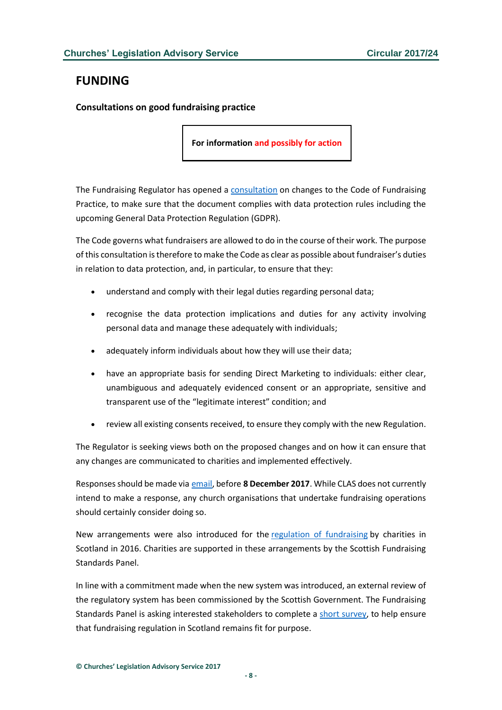## <span id="page-7-0"></span>**FUNDING**

<span id="page-7-1"></span>**Consultations on good fundraising practice**

**For information and possibly for action**

The Fundraising Regulator has opened a [consultation](http://www.fundraisingregulator.org.uk/code-of-fundraising-practice/consultations/code-consultation-october-2017/) on changes to the Code of Fundraising Practice, to make sure that the document complies with data protection rules including the upcoming General Data Protection Regulation (GDPR).

The Code governs what fundraisers are allowed to do in the course of their work. The purpose of this consultation is therefore to make the Code as clear as possible about fundraiser's duties in relation to data protection, and, in particular, to ensure that they:

- understand and comply with their legal duties regarding personal data;
- recognise the data protection implications and duties for any activity involving personal data and manage these adequately with individuals;
- adequately inform individuals about how they will use their data;
- have an appropriate basis for sending Direct Marketing to individuals: either clear, unambiguous and adequately evidenced consent or an appropriate, sensitive and transparent use of the "legitimate interest" condition; and
- review all existing consents received, to ensure they comply with the new Regulation.

The Regulator is seeking views both on the proposed changes and on how it can ensure that any changes are communicated to charities and implemented effectively.

Responses should be made via [email,](mailto:consultations@fundraisingregulator.org.uk) before **8 December 2017**. While CLAS does not currently intend to make a response, any church organisations that undertake fundraising operations should certainly consider doing so.

New arrangements were also introduced for the [regulation of fundraising](http://www.oscr.org.uk/public/fundraising) by charities in Scotland in 2016. Charities are supported in these arrangements by the Scottish Fundraising Standards Panel.

In line with a commitment made when the new system was introduced, an external review of the regulatory system has been commissioned by the Scottish Government. The Fundraising Standards Panel is asking interested stakeholders to complete a [short survey,](http://www.surveymonkey.co.uk/r/VZTLRMX) to help ensure that fundraising regulation in Scotland remains fit for purpose.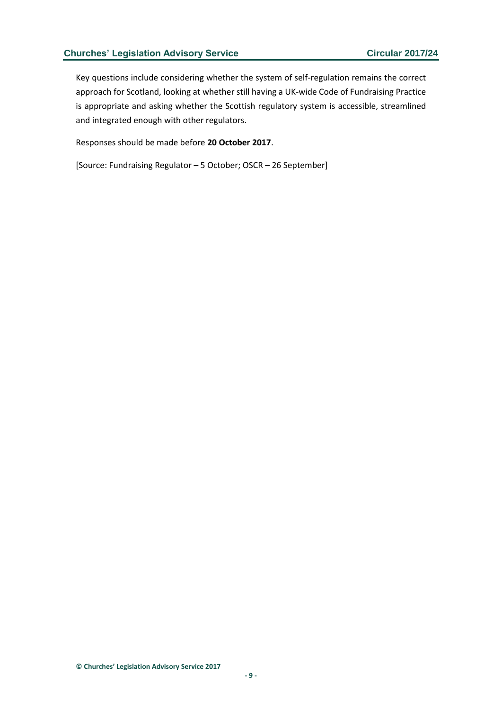Key questions include considering whether the system of self-regulation remains the correct approach for Scotland, looking at whether still having a UK-wide Code of Fundraising Practice is appropriate and asking whether the Scottish regulatory system is accessible, streamlined and integrated enough with other regulators.

Responses should be made before **20 October 2017**.

[Source: Fundraising Regulator – 5 October; OSCR – 26 September]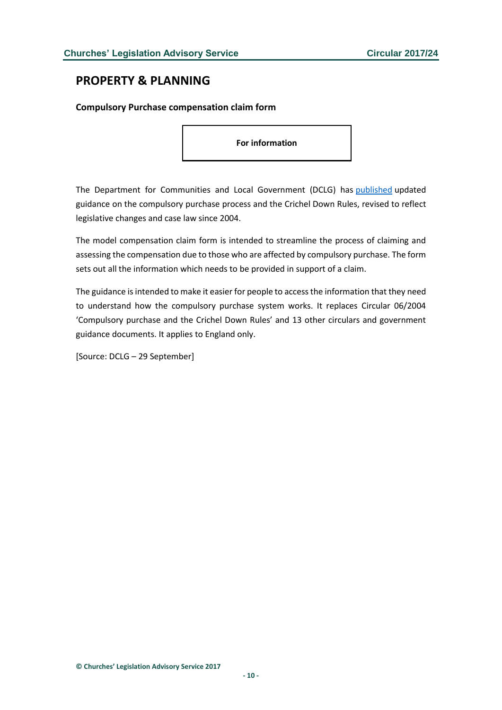## <span id="page-9-0"></span>**PROPERTY & PLANNING**

## <span id="page-9-1"></span>**Compulsory Purchase compensation claim form**

**For information**

The Department for Communities and Local Government (DCLG) has [published](http://www.gov.uk/government/publications/compulsory-purchase-process-and-the-crichel-down-rules-guidance) updated guidance on the compulsory purchase process and the Crichel Down Rules, revised to reflect legislative changes and case law since 2004.

The model compensation claim form is intended to streamline the process of claiming and assessing the compensation due to those who are affected by compulsory purchase. The form sets out all the information which needs to be provided in support of a claim.

The guidance is intended to make it easier for people to access the information that they need to understand how the compulsory purchase system works. It replaces Circular 06/2004 'Compulsory purchase and the Crichel Down Rules' and 13 other circulars and government guidance documents. It applies to England only.

[Source: DCLG – 29 September]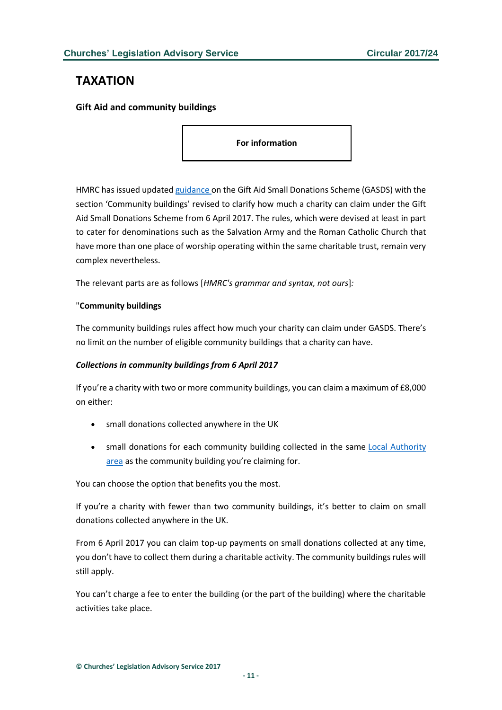## <span id="page-10-0"></span>**TAXATION**

<span id="page-10-1"></span>**Gift Aid and community buildings**

**For information**

HMRC has issued updated [guidance o](https://www.gov.uk/guidance/claiming-a-top-up-payment-on-small-charitable-donations)n the Gift Aid Small Donations Scheme (GASDS) with the section 'Community buildings' revised to clarify how much a charity can claim under the Gift Aid Small Donations Scheme from 6 April 2017. The rules, which were devised at least in part to cater for denominations such as the Salvation Army and the Roman Catholic Church that have more than one place of worship operating within the same charitable trust, remain very complex nevertheless.

The relevant parts are as follows [*HMRC's grammar and syntax, not ours*]*:*

## "**Community buildings**

The community buildings rules affect how much your charity can claim under GASDS. There's no limit on the number of eligible community buildings that a charity can have.

## *Collections in community buildings from 6 April 2017*

If you're a charity with two or more community buildings, you can claim a maximum of £8,000 on either:

- small donations collected anywhere in the UK
- small donations for each community building collected in the same [Local Authority](https://www.gov.uk/government/publications/charities-detailed-guidance-notes/chapter-8-the-gift-aid-small-donations-scheme#local-authority-areas)  [area](https://www.gov.uk/government/publications/charities-detailed-guidance-notes/chapter-8-the-gift-aid-small-donations-scheme#local-authority-areas) as the community building you're claiming for.

You can choose the option that benefits you the most.

If you're a charity with fewer than two community buildings, it's better to claim on small donations collected anywhere in the UK.

From 6 April 2017 you can claim top-up payments on small donations collected at any time, you don't have to collect them during a charitable activity. The community buildings rules will still apply.

You can't charge a fee to enter the building (or the part of the building) where the charitable activities take place.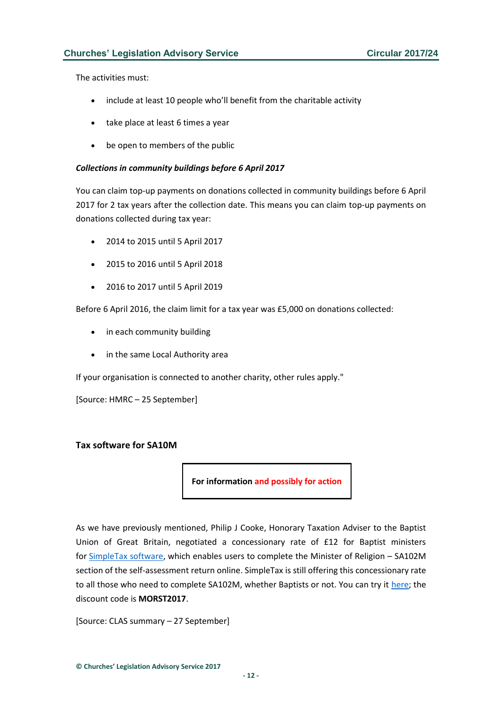The activities must:

- include at least 10 people who'll benefit from the charitable activity
- take place at least 6 times a year
- be open to members of the public

#### *Collections in community buildings before 6 April 2017*

You can claim top-up payments on donations collected in community buildings before 6 April 2017 for 2 tax years after the collection date. This means you can claim top-up payments on donations collected during tax year:

- 2014 to 2015 until 5 April 2017
- 2015 to 2016 until 5 April 2018
- 2016 to 2017 until 5 April 2019

Before 6 April 2016, the claim limit for a tax year was £5,000 on donations collected:

- in each community building
- in the same Local Authority area

If your organisation is connected to another charity, other rules apply."

[Source: HMRC – 25 September]

## <span id="page-11-0"></span>**Tax software for SA10M**

**For information and possibly for action**

As we have previously mentioned, Philip J Cooke, Honorary Taxation Adviser to the Baptist Union of Great Britain, negotiated a concessionary rate of £12 for Baptist ministers for [SimpleTax software,](https://secure.gosimpletax.com/signup/) which enables users to complete the Minister of Religion – SA102M section of the self-assessment return online. SimpleTax is still offering this concessionary rate to all those who need to complete SA102M, whether Baptists or not. You can try it [here;](http://l.gosimpletax.com/ministers-of-religion-tax-return/) the discount code is **MORST2017**.

[Source: CLAS summary – 27 September]